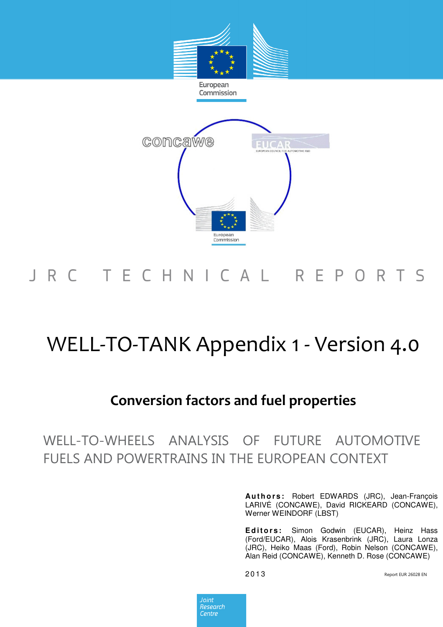

# J R C T E C H N I C A L R E P O R T S

# WELL-TO-TANK Appendix 1 - Version 4.0

# Conversion factors and fuel properties

WELL-TO-WHEELS ANALYSIS OF FUTURE AUTOMOTIVE FUELS AND POWERTRAINS IN THE EUROPEAN CONTEXT

> **Au t h o r s :** Robert EDWARDS (JRC), Jean-François LARIVÉ (CONCAWE), David RICKEARD (CONCAWE), Werner WEINDORF (LBST)

> **E d i t o r s :** Simon Godwin (EUCAR), Heinz Hass (Ford/EUCAR), Alois Krasenbrink (JRC), Laura Lonza (JRC), Heiko Maas (Ford), Robin Nelson (CONCAWE), Alan Reid (CONCAWE), Kenneth D. Rose (CONCAWE)

Report EUR 26028 EN

Joint Research Centre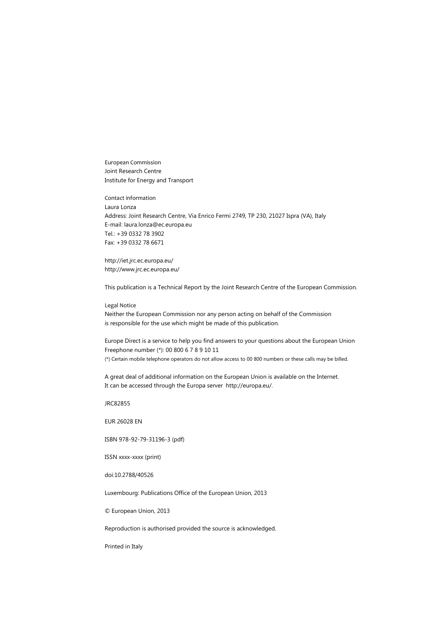European Commission Joint Research Centre Institute for Energy and Transport

Contact information Laura Lonza Address: Joint Research Centre, Via Enrico Fermi 2749, TP 230, 21027 Ispra (VA), Italy E-mail: laura.lonza@ec.europa.eu Tel.: +39 0332 78 3902 Fax: +39 0332 78 6671

http://iet.jrc.ec.europa.eu/ http://www.jrc.ec.europa.eu/

This publication is a Technical Report by the Joint Research Centre of the European Commission.

### Legal Notice

Neither the European Commission nor any person acting on behalf of the Commission is responsible for the use which might be made of this publication.

Europe Direct is a service to help you find answers to your questions about the European Union Freephone number (\*): 00 800 6 7 8 9 10 11 (\*) Certain mobile telephone operators do not allow access to 00 800 numbers or these calls may be billed.

A great deal of additional information on the European Union is available on the Internet.

It can be accessed through the Europa server http://europa.eu/.

JRC82855

EUR 26028 EN

ISBN 978-92-79-31196-3 (pdf)

ISSN xxxx-xxxx (print)

doi:10.2788/40526

Luxembourg: Publications Office of the European Union, 2013

© European Union, 2013

Reproduction is authorised provided the source is acknowledged.

Printed in Italy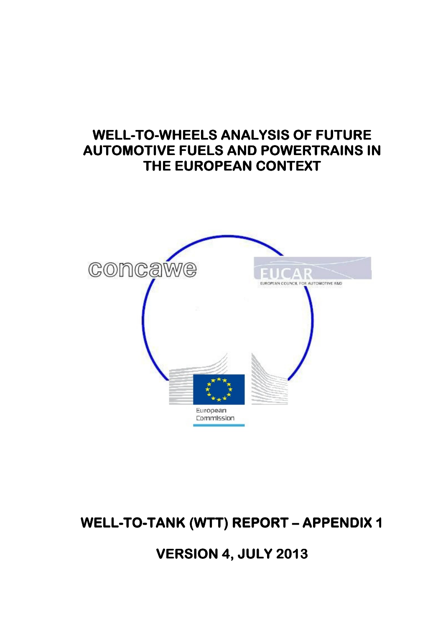# WELL-TO-WHEELS ANALYSIS OF FUTURE **AUTOMOTIVE FUELS AND POWERTRAINS IN** THE EUROPEAN CONTEXT



WELL-TO-TANK (WTT) REPORT - APPENDIX 1

# VERSION 4, JULY 2013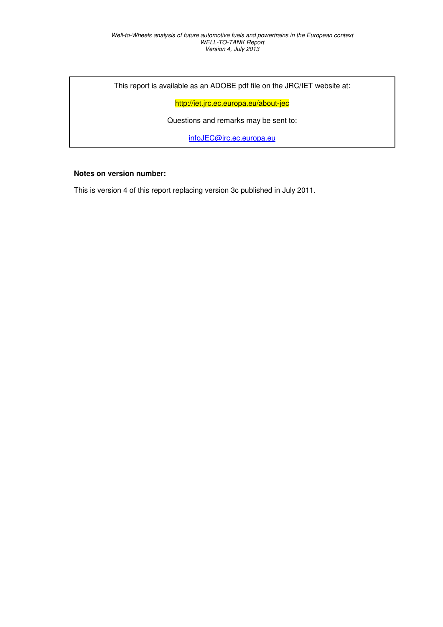This report is available as an ADOBE pdf file on the JRC/IET website at:

http://iet.jrc.ec.europa.eu/about-jec

Questions and remarks may be sent to:

infoJEC@jrc.ec.europa.eu

### **Notes on version number:**

This is version 4 of this report replacing version 3c published in July 2011.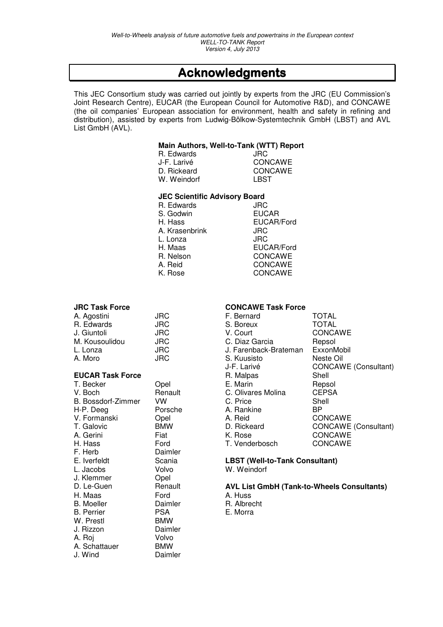# Acknowledgments Acknowledgments

This JEC Consortium study was carried out jointly by experts from the JRC (EU Commission's Joint Research Centre), EUCAR (the European Council for Automotive R&D), and CONCAWE (the oil companies' European association for environment, health and safety in refining and distribution), assisted by experts from Ludwig-Bölkow-Systemtechnik GmbH (LBST) and AVL List GmbH (AVL).

### **Main Authors, Well-to-Tank (WTT) Report**

| R. Edwards                 | JRC                       |
|----------------------------|---------------------------|
| J-F. Larivé<br>D. Rickeard | <b>CONCAWE</b><br>CONCAWE |
| W. Weindorf                | LBST                      |

#### **JEC Scientific Advisory Board**

| R. Edwards     |  |
|----------------|--|
| S. Godwin      |  |
| H. Hass        |  |
| A. Krasenbrink |  |
| L. Lonza       |  |
| H. Maas        |  |
| R. Nelson      |  |
| A. Reid        |  |
| K. Rose        |  |

| A. Agostini    | JRC |
|----------------|-----|
| R. Edwards     | JRC |
| J. Giuntoli    | JRC |
| M. Kousoulidou | JRC |
| L. Lonza       | JRC |
| A. Moro        | JRC |

### **EUCAR Task Force**

| T. Becker          | Opel       | E. Marin                          | Rep        |
|--------------------|------------|-----------------------------------|------------|
| V. Boch            | Renault    | C. Olivares Molina                | <b>CEI</b> |
| B. Bossdorf-Zimmer | VW         | C. Price                          | She        |
| H-P. Deeg          | Porsche    | A. Rankine                        | BP.        |
| V. Formanski       | Opel       | A. Reid                           | CO         |
| T. Galovic         | <b>BMW</b> | D. Rickeard                       | CO         |
| A. Gerini          | Fiat       | K. Rose                           | CO         |
| H. Hass            | Ford       | T. Venderbosch                    | CO         |
| F. Herb            | Daimler    |                                   |            |
| E. Iverfeldt       | Scania     | <b>LBST (Well-to-Tank Consult</b> |            |
| L. Jacobs          | Volvo      | W. Weindorf                       |            |
| J. Klemmer         | Opel       |                                   |            |
| D. Le-Guen         | Renault    | <b>AVL List GmbH (Tank-to-Wh</b>  |            |
| H. Maas            | Ford       | A. Huss                           |            |
| <b>B.</b> Moeller  | Daimler    | R. Albrecht                       |            |
| <b>B.</b> Perrier  | <b>PSA</b> | E. Morra                          |            |
| W. Prestl          | <b>BMW</b> |                                   |            |
| J. Rizzon          | Daimler    |                                   |            |
| A. Roi             | Volvo      |                                   |            |
| A. Schattauer      | <b>BMW</b> |                                   |            |
| J. Wind            | Daimler    |                                   |            |

### **JRC Task Force CONCAWE Task Force**

R. Edwards JRC **EUCAR** EUCAR/Ford

**JRC** L. Lonza JRC

EUCAR/Ford **CONCAWE CONCAWE CONCAWE** 

| A. Agostini             | <b>JRC</b> | F. Bernard            | <b>TOTAL</b>         |
|-------------------------|------------|-----------------------|----------------------|
| R. Edwards              | JRC.       | S. Boreux             | <b>TOTAL</b>         |
| J. Giuntoli             | <b>JRC</b> | V. Court              | <b>CONCAWE</b>       |
| M. Kousoulidou          | <b>JRC</b> | C. Diaz Garcia        | Repsol               |
| L. Lonza                | JRC.       | J. Farenback-Brateman | ExxonMobil           |
| A. Moro                 | <b>JRC</b> | S. Kuusisto           | Neste Oil            |
|                         |            | J-F. Larivé           | CONCAWE (Consultant) |
| <b>EUCAR Task Force</b> |            | R. Malpas             | Shell                |
| T. Becker               | Opel       | E. Marin              | Repsol               |
| V. Boch                 | Renault    | C. Olivares Molina    | <b>CEPSA</b>         |
| B. Bossdorf-Zimmer      | VW.        | C. Price              | Shell                |
| H-P. Deeg               | Porsche    | A. Rankine            | <b>BP</b>            |
| V. Formanski            | Opel       | A. Reid               | <b>CONCAWE</b>       |
| T. Galovic              | <b>BMW</b> | D. Rickeard           | CONCAWE (Consultant) |
| A. Gerini               | Fiat       | K. Rose               | <b>CONCAWE</b>       |
| H. Hass                 | Ford       | T. Venderbosch        | <b>CONCAWE</b>       |

#### a **LBST (Well-to-Tank Consultant)** W. Weindorf

**D. Leaper Renault AVL List GmbH (Tank-to-Wheels Consultants)**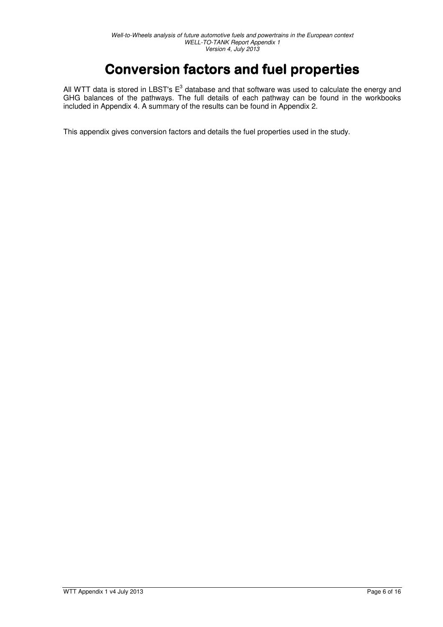# Conversion factors and fuel properties

All WTT data is stored in LBST's  $E^3$  database and that software was used to calculate the energy and GHG balances of the pathways. The full details of each pathway can be found in the workbooks included in Appendix 4. A summary of the results can be found in Appendix 2.

This appendix gives conversion factors and details the fuel properties used in the study.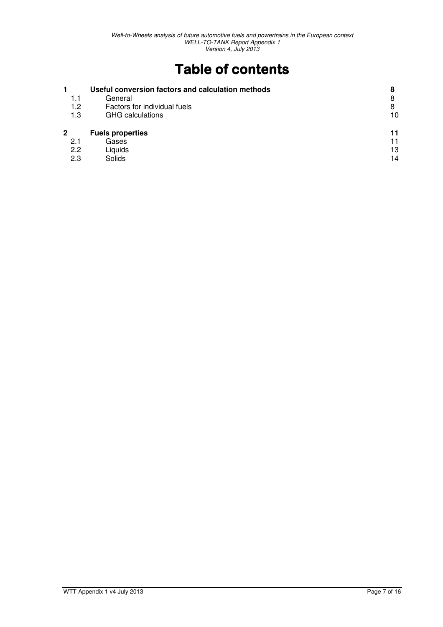# Table of contents

| 1.1<br>1.2  | Useful conversion factors and calculation methods<br>General<br>Factors for individual fuels | 8<br>8<br>8 |
|-------------|----------------------------------------------------------------------------------------------|-------------|
| 1.3         | <b>GHG</b> calculations                                                                      | 10          |
| $\mathbf 2$ | <b>Fuels properties</b>                                                                      | 11          |
| 2.1         | Gases                                                                                        | 11          |
| 2.2         | Liquids                                                                                      | 13          |
| 2.3         | Solids                                                                                       | 14          |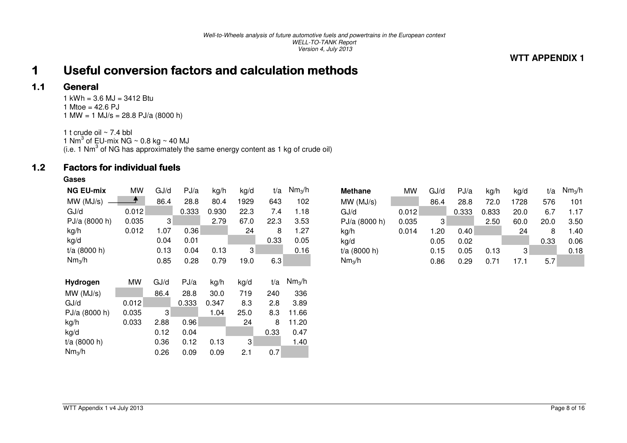### **WTT APPENDIX 1**

#### 1Useful conversion factors and calculation methods

#### 1.1**General**

 $1$  kWh = 3.6 MJ = 3412 Btu 1 Mtoe =  $42.6$  PJ 1 MW = 1 MJ/s = 28.8 PJ/a (8000 h)

1 t crude oil ~ 7.4 bbl 1 Nm<sup>3</sup> of EU-mix NG ~ 0.8 kg ~ 40 MJ<br>(i.e. 1 Nm<sup>3</sup> of NG has approximately the same energy content as 1 kg of crude oil)

#### 1.2Factors for individual fuels Factors for individual fuels

### **Gases**

| <b>NG EU-mix</b>   | <b>MW</b> | GJ/d | PJ/a  | kg/h  | kg/d | t/a  | Nm <sub>3</sub> /h |
|--------------------|-----------|------|-------|-------|------|------|--------------------|
| MW(MJ/s)           |           | 86.4 | 28.8  | 80.4  | 1929 | 643  | 102                |
| GJ/d               | 0.012     |      | 0.333 | 0.930 | 22.3 | 7.4  | 1.18               |
| PJ/a (8000 h)      | 0.035     | 3    |       | 2.79  | 67.0 | 22.3 | 3.53               |
| kg/h               | 0.012     | 1.07 | 0.36  |       | 24   | 8    | 1.27               |
| kg/d               |           | 0.04 | 0.01  |       |      | 0.33 | 0.05               |
| $t/a$ (8000 h)     |           | 0.13 | 0.04  | 0.13  | 3    |      | 0.16               |
| Nm <sub>3</sub> /h |           | 0.85 | 0.28  | 0.79  | 19.0 | 6.3  |                    |
|                    |           |      |       |       |      |      |                    |
|                    |           |      |       |       |      |      |                    |
| Hydrogen           | <b>MW</b> | GJ/d | PJ/a  | kg/h  | kg/d | t/a  | Nm <sub>3</sub> /h |
| MW(MJ/s)           |           | 86.4 | 28.8  | 30.0  | 719  | 240  | 336                |
| GJ/d               | 0.012     |      | 0.333 | 0.347 | 8.3  | 2.8  | 3.89               |
| PJ/a (8000 h)      | 0.035     | 3    |       | 1.04  | 25.0 | 8.3  | 11.66              |
| kg/h               | 0.033     | 2.88 | 0.96  |       | 24   | 8    | 11.20              |
| kg/d               |           | 0.12 | 0.04  |       |      | 0.33 | 0.47               |
| t/a (8000 h)       |           | 0.36 | 0.12  | 0.13  | 3    |      | 1.40               |

| <b>Methane</b>     | MW    | GJ/d | PJ/a  | kg/h  | kg/d | t/a  | Nm <sub>3</sub> /h |
|--------------------|-------|------|-------|-------|------|------|--------------------|
| MW(MJ/s)           |       | 86.4 | 28.8  | 72.0  | 1728 | 576  | 101                |
| GJ/d               | 0.012 |      | 0.333 | 0.833 | 20.0 | 6.7  | 1.17               |
| PJ/a (8000 h)      | 0.035 | 3    |       | 2.50  | 60.0 | 20.0 | 3.50               |
| kg/h               | 0.014 | 1.20 | 0.40  |       | 24   | 8    | 1.40               |
| kg/d               |       | 0.05 | 0.02  |       |      | 0.33 | 0.06               |
| t/a (8000 h)       |       | 0.15 | 0.05  | 0.13  | 3    |      | 0.18               |
| Nm <sub>3</sub> /h |       | 0.86 | 0.29  | 0.71  | 17.1 | 5.7  |                    |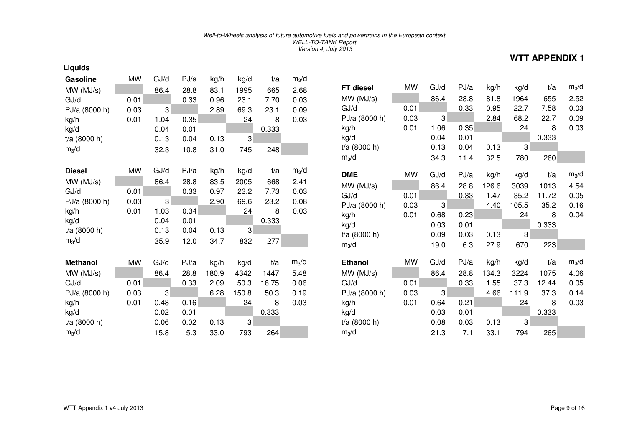| <b>Gasoline</b> | MW   | GJ/d | PJ/a | kg/h  | kg/d  | t/a   | $m_3/d$ |                |     |
|-----------------|------|------|------|-------|-------|-------|---------|----------------|-----|
| MW(MJ/s)        |      | 86.4 | 28.8 | 83.1  | 1995  | 665   | 2.68    | FT diesel      | M   |
| GJ/d            | 0.01 |      | 0.33 | 0.96  | 23.1  | 7.70  | 0.03    | MW(MJ/s)       |     |
| PJ/a (8000 h)   | 0.03 | 3    |      | 2.89  | 69.3  | 23.1  | 0.09    | GJ/d           | 0.0 |
| kg/h            | 0.01 | 1.04 | 0.35 |       | 24    | 8     | 0.03    | PJ/a (8000 h)  | 0.0 |
| kg/d            |      | 0.04 | 0.01 |       |       | 0.333 |         | kg/h           | 0.0 |
| t/a (8000 h)    |      | 0.13 | 0.04 | 0.13  | 3     |       |         | kg/d           |     |
| $m_3/d$         |      | 32.3 | 10.8 | 31.0  | 745   | 248   |         | $t/a$ (8000 h) |     |
|                 |      |      |      |       |       |       |         | $m_3/d$        |     |
| <b>Diesel</b>   | MW   | GJ/d | PJ/a | kg/h  | kg/d  | t/a   | $m_3/d$ | <b>DME</b>     | M   |
| MW (MJ/s)       |      | 86.4 | 28.8 | 83.5  | 2005  | 668   | 2.41    | MW(MJ/s)       |     |
| GJ/d            | 0.01 |      | 0.33 | 0.97  | 23.2  | 7.73  | 0.03    | GJ/d           | 0.0 |
| PJ/a (8000 h)   | 0.03 | 3    |      | 2.90  | 69.6  | 23.2  | 0.08    | PJ/a (8000 h)  | 0.0 |
| kg/h            | 0.01 | 1.03 | 0.34 |       | 24    | 8     | 0.03    | kg/h           | 0.0 |
| kg/d            |      | 0.04 | 0.01 |       |       | 0.333 |         | kg/d           |     |
| $t/a$ (8000 h)  |      | 0.13 | 0.04 | 0.13  | 3     |       |         | $t/a$ (8000 h) |     |
| $m_3/d$         |      | 35.9 | 12.0 | 34.7  | 832   | 277   |         | $m_3/d$        |     |
|                 |      |      |      |       |       |       |         |                |     |
| <b>Methanol</b> | MW   | GJ/d | PJ/a | kg/h  | kg/d  | t/a   | $m_3/d$ | <b>Ethanol</b> | M   |
| MW (MJ/s)       |      | 86.4 | 28.8 | 180.9 | 4342  | 1447  | 5.48    | MW(MJ/s)       |     |
| GJ/d            | 0.01 |      | 0.33 | 2.09  | 50.3  | 16.75 | 0.06    | GJ/d           | 0.0 |
| PJ/a (8000 h)   | 0.03 | 3    |      | 6.28  | 150.8 | 50.3  | 0.19    | PJ/a (8000 h)  | 0.0 |
| kg/h            | 0.01 | 0.48 | 0.16 |       | 24    | 8     | 0.03    | kg/h           | 0.0 |
| kg/d            |      | 0.02 | 0.01 |       |       | 0.333 |         | kg/d           |     |
| $t/a$ (8000 h)  |      | 0.06 | 0.02 | 0.13  | 3     |       |         | $t/a$ (8000 h) |     |
| $m_3/d$         |      | 15.8 | 5.3  | 33.0  | 793   | 264   |         | $m_3/d$        |     |

| FT diesel                   | MW        | GJ/d | PJ/a | kg/h  | kg/d  | t/a   | $m_3/d$ |
|-----------------------------|-----------|------|------|-------|-------|-------|---------|
| MW (MJ/s)                   |           | 86.4 | 28.8 | 81.8  | 1964  | 655   | 2.52    |
| GJ/d                        | 0.01      |      | 0.33 | 0.95  | 22.7  | 7.58  | 0.03    |
| PJ/a (8000 h)               | 0.03      | 3    |      | 2.84  | 68.2  | 22.7  | 0.09    |
| kg/h                        | 0.01      | 1.06 | 0.35 |       | 24    | 8     | 0.03    |
| kg/d                        |           | 0.04 | 0.01 |       |       | 0.333 |         |
| t/a (8000 h)                |           | 0.13 | 0.04 | 0.13  | 3     |       |         |
| $m_3/d$                     |           | 34.3 | 11.4 | 32.5  | 780   | 260   |         |
| <b>DME</b>                  | <b>MW</b> | GJ/d | PJ/a | kg/h  | kg/d  | t/a   | $m_3/d$ |
| MW (MJ/s)                   |           | 86.4 | 28.8 | 126.6 | 3039  | 1013  | 4.54    |
| GJ/d                        | 0.01      |      | 0.33 | 1.47  | 35.2  | 11.72 | 0.05    |
| PJ/a (8000 h)               | 0.03      | 3    |      | 4.40  | 105.5 | 35.2  | 0.16    |
| kg/h                        | 0.01      | 0.68 | 0.23 |       | 24    | 8     | 0.04    |
| kg/d                        |           | 0.03 | 0.01 |       |       | 0.333 |         |
| t/a (8000 h)                |           | 0.09 | 0.03 | 0.13  | 3     |       |         |
| $m_3/d$                     |           | 19.0 | 6.3  | 27.9  | 670   | 223   |         |
| <b>Ethanol</b>              | MW        | GJ/d | PJ/a | kg/h  | kg/d  | t/a   | $m_3/d$ |
| MW(MJ/s)                    |           | 86.4 | 28.8 | 134.3 | 3224  | 1075  | 4.06    |
| GJ/d                        | 0.01      |      | 0.33 | 1.55  | 37.3  | 12.44 | 0.05    |
| PJ/a (8000 h)               | 0.03      | 3    |      | 4.66  | 111.9 | 37.3  | 0.14    |
| kg/h                        | 0.01      | 0.64 | 0.21 |       | 24    | 8     | 0.03    |
| kg/d                        |           | 0.03 | 0.01 |       |       | 0.333 |         |
| t/a (8000 h)                |           | 0.08 | 0.03 | 0.13  | 3     |       |         |
| $\mathsf{m}_3\!/\mathsf{d}$ |           | 21.3 | 7.1  | 33.1  | 794   | 265   |         |

**Liquids** 

**WTT APPENDIX 1**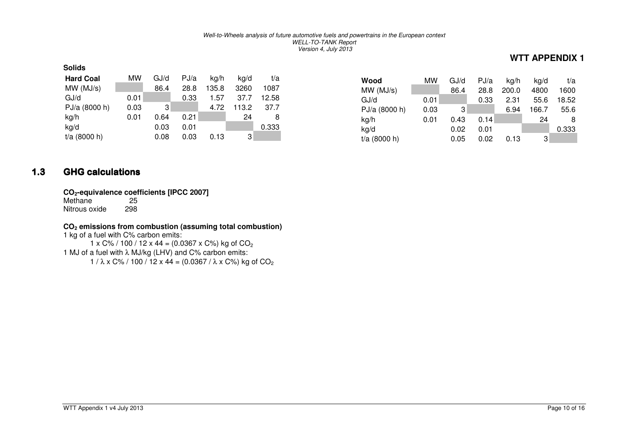| <b>Solids</b>    |      |      |      |       |       |       |
|------------------|------|------|------|-------|-------|-------|
| <b>Hard Coal</b> | МW   | GJ/d | PJ/a | kg/h  | ka/d  | t/a   |
| MW(MJ/s)         |      | 86.4 | 28.8 | 135.8 | 3260  | 1087  |
| GJ/d             | 0.01 |      | 0.33 | 1.57  | 37.7  | 12.58 |
| PJ/a (8000 h)    | 0.03 | 3    |      | 4.72  | 113.2 | 37.7  |
| kg/h             | 0.01 | 0.64 | 0.21 |       | 24    | 8     |
| kg/d             |      | 0.03 | 0.01 |       |       | 0.333 |
| $t/a$ (8000 h)   |      | 0.08 | 0.03 | 0.13  | 3     |       |

| Wood<br>MW(MJ/s) | МW   | GJ/d<br>86.4 | PJ/a<br>28.8 | kg/h<br>200.0 | kg/d<br>4800 | t/a<br>1600 |
|------------------|------|--------------|--------------|---------------|--------------|-------------|
| GJ/d             | 0.01 |              | 0.33         | 2.31          | 55.6         | 18.52       |
| PJ/a (8000 h)    | 0.03 | 3            |              | 6.94          | 166.7        | 55.6        |
| kg/h             | 0.01 | 0.43         | 0.14         |               | 24           | 8           |
| kg/d             |      | 0.02         | 0.01         |               |              | 0.333       |
| $t/a$ (8000 h)   |      | 0.05         | 0.02         | 0.13          | 3            |             |

#### 1.3**GHG calculations**

# **CO2-equivalence coefficients [IPCC 2007]**

Methane 298 Nitrous oxide

### **CO2 emissions from combustion (assuming total combustion)**

1 kg of a fuel with C% carbon emits: 1 x C% / 100 / 12 x 44 = (0.0367 x C%) kg of CO<sub>2</sub>

1 MJ of a fuel with λ MJ/kg (LHV) and C% carbon emits:

1 /  $\lambda$  x C% / 100 / 12 x 44 = (0.0367 /  $\lambda$  x C%) kg of CO $_2$ 

**WTT APPENDIX 1**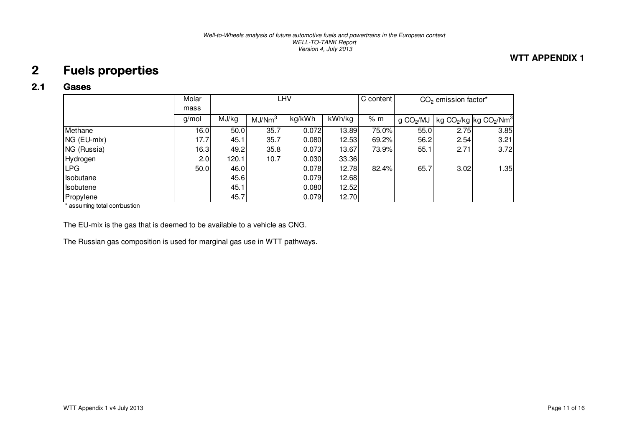## **WTT APPENDIX 1**

#### 2Fuels properties

#### 2.1Gases

|                  | Molar | LHV   |                    |        |        | C content | $CO2$ emission factor* |      |                                                            |
|------------------|-------|-------|--------------------|--------|--------|-----------|------------------------|------|------------------------------------------------------------|
|                  | mass  |       |                    |        |        |           |                        |      |                                                            |
|                  | g/mol | MJ/kg | MJ/Nm <sup>3</sup> | kg/kWh | kWh/kg | % m       | g CO <sub>2</sub> /MU  |      | kg CO <sub>2</sub> /kg kg CO <sub>2</sub> /Nm <sup>3</sup> |
| Methane          | 16.0  | 50.0  | 35.7               | 0.072  | 13.89  | 75.0%     | 55.0                   | 2.75 | 3.85                                                       |
| NG (EU-mix)      | 17.7  | 45.11 | 35.7               | 0.080  | 12.53  | 69.2%     | 56.2                   | 2.54 | 3.21                                                       |
| NG (Russia)      | 16.3  | 49.2  | 35.8               | 0.073  | 13.67  | 73.9%     | 55.1                   | 2.71 | 3.72                                                       |
| Hydrogen         | 2.0   | 120.1 | 10.7               | 0.030  | 33.36  |           |                        |      |                                                            |
| ILPG.            | 50.0  | 46.0  |                    | 0.078  | 12.78  | 82.4%     | 65.7                   | 3.02 | 1.35                                                       |
| Isobutane        |       | 45.6  |                    | 0.079  | 12.68  |           |                        |      |                                                            |
| <b>Isobutene</b> |       | 45.1  |                    | 0.080  | 12.52  |           |                        |      |                                                            |
| Propylene        |       | 45.7  |                    | 0.079  | 12.70  |           |                        |      |                                                            |

\* assuming total combustion

The EU-mix is the gas that is deemed to be available to a vehicle as CNG.

The Russian gas composition is used for marginal gas use in WTT pathways.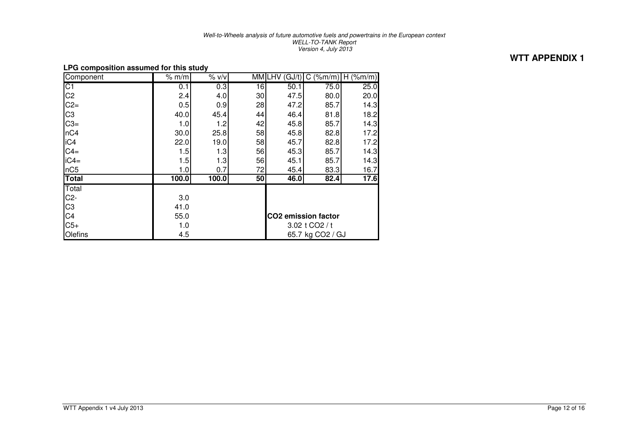**WTT APPENDIX 1** 

| Li a composition assumed for this study |       |                  |                 |                            |                         |                 |  |
|-----------------------------------------|-------|------------------|-----------------|----------------------------|-------------------------|-----------------|--|
| Component                               | % m/m | % v/v            | MMI             | GJ/t)<br>LHV               | $(\frac{9}{2}m/m)$<br>C | $(\%m/m)$<br>H. |  |
| $\overline{C1}$                         | 0.1   | 0.3              | $\overline{16}$ | 50.1                       | 75.0                    | 25.0            |  |
| C <sub>2</sub>                          | 2.4   | 4.0              | 30 <sup>2</sup> | 47.5                       | 80.0                    | 20.0            |  |
| $C2=$                                   | 0.5   | 0.9              | 28              | 47.2                       | 85.7                    | 14.3            |  |
| C <sub>3</sub>                          | 40.0  | 45.4             | 44              | 46.4                       | 81.8                    | 18.2            |  |
| $C3=$                                   | 1.0   | 1.2              | 42              | 45.8                       | 85.7                    | 14.3            |  |
| nC4                                     | 30.0  | 25.8             | 58              | 45.8                       | 82.8                    | 17.2            |  |
| iC4                                     | 22.0  | 19.0             | 58              | 45.7                       | 82.8                    | 17.2            |  |
| $C4=$                                   | 1.5   | 1.3              | 56              | 45.3                       | 85.7                    | 14.3            |  |
| $iC4=$                                  | 1.5   | 1.3              | 56              | 45.1                       | 85.7                    | 14.3            |  |
| nC5                                     | 1.0   | 0.7              | 72              | 45.4                       | 83.3                    | 16.7            |  |
| <b>Total</b>                            | 100.0 | 100.0            | 50              | 46.0                       | 82.4                    | 17.6            |  |
| Total                                   |       |                  |                 |                            |                         |                 |  |
| $C2-$                                   | 3.0   |                  |                 |                            |                         |                 |  |
| C <sub>3</sub>                          | 41.0  |                  |                 |                            |                         |                 |  |
| C4                                      | 55.0  |                  |                 | <b>CO2</b> emission factor |                         |                 |  |
| $C5+$                                   | 1.0   |                  | 3.02 t CO2 / t  |                            |                         |                 |  |
| Olefins                                 | 4.5   | 65.7 kg CO2 / GJ |                 |                            |                         |                 |  |

#### **LPG composition assumed for this study**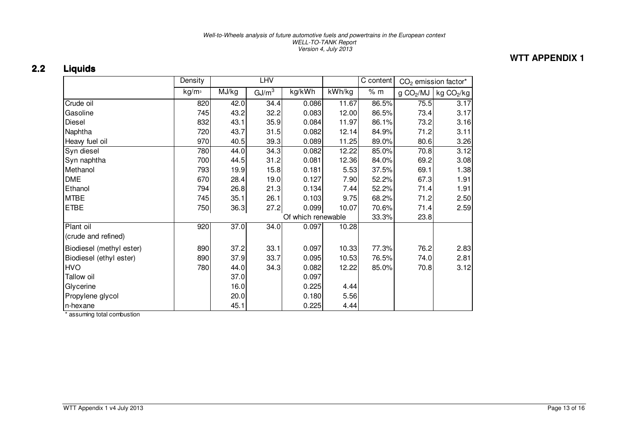## **WTT APPENDIX 1**

#### 2.2**Liquids**

|                          | Density           | <b>LHV</b> |                   |                    |                                        | C content<br>$CO2$ emission factor* |                       |                        |
|--------------------------|-------------------|------------|-------------------|--------------------|----------------------------------------|-------------------------------------|-----------------------|------------------------|
|                          | kg/m <sup>3</sup> | MJ/kg      | GJ/m <sup>3</sup> | kg/kWh             | $\overline{\mathsf{k}}\mathsf{W}$ h/kg | % m                                 | g CO <sub>2</sub> /MJ | kg CO <sub>2</sub> /kg |
| Crude oil                | 820               | 42.0       | 34.4              | 0.086              | 11.67                                  | 86.5%                               | 75.5                  | 3.17                   |
| Gasoline                 | 745               | 43.2       | 32.2              | 0.083              | 12.00                                  | 86.5%                               | 73.4                  | 3.17                   |
| Diesel                   | 832               | 43.1       | 35.9              | 0.084              | 11.97                                  | 86.1%                               | 73.2                  | 3.16                   |
| Naphtha                  | 720               | 43.7       | 31.5              | 0.082              | 12.14                                  | 84.9%                               | 71.2                  | 3.11                   |
| Heavy fuel oil           | 970               | 40.5       | 39.3              | 0.089              | 11.25                                  | 89.0%                               | 80.6                  | 3.26                   |
| Syn diesel               | 780               | 44.0       | 34.3              | 0.082              | 12.22                                  | 85.0%                               | 70.8                  | 3.12                   |
| Syn naphtha              | 700               | 44.5       | 31.2              | 0.081              | 12.36                                  | 84.0%                               | 69.2                  | 3.08                   |
| Methanol                 | 793               | 19.9       | 15.8              | 0.181              | 5.53                                   | 37.5%                               | 69.1                  | 1.38                   |
| <b>DME</b>               | 670               | 28.4       | 19.0              | 0.127              | 7.90                                   | 52.2%                               | 67.3                  | 1.91                   |
| Ethanol                  | 794               | 26.8       | 21.3              | 0.134              | 7.44                                   | 52.2%                               | 71.4                  | 1.91                   |
| <b>MTBE</b>              | 745               | 35.1       | 26.1              | 0.103              | 9.75                                   | 68.2%                               | 71.2                  | 2.50                   |
| <b>ETBE</b>              | 750               | 36.3       | 27.2              | 0.099              | 10.07                                  | 70.6%                               | 71.4                  | 2.59                   |
|                          |                   |            |                   | Of which renewable |                                        | 33.3%                               | 23.8                  |                        |
| Plant oil                | 920               | 37.0       | 34.0              | 0.097              | 10.28                                  |                                     |                       |                        |
| (crude and refined)      |                   |            |                   |                    |                                        |                                     |                       |                        |
| Biodiesel (methyl ester) | 890               | 37.2       | 33.1              | 0.097              | 10.33                                  | 77.3%                               | 76.2                  | 2.83                   |
| Biodiesel (ethyl ester)  | 890               | 37.9       | 33.7              | 0.095              | 10.53                                  | 76.5%                               | 74.0                  | 2.81                   |
| <b>HVO</b>               | 780               | 44.0       | 34.3              | 0.082              | 12.22                                  | 85.0%                               | 70.8                  | 3.12                   |
| Tallow oil               |                   | 37.0       |                   | 0.097              |                                        |                                     |                       |                        |
| Glycerine                |                   | 16.0       |                   | 0.225              | 4.44                                   |                                     |                       |                        |
| Propylene glycol         |                   | 20.0       |                   | 0.180              | 5.56                                   |                                     |                       |                        |
| n-hexane                 |                   | 45.1       |                   | 0.225              | 4.44                                   |                                     |                       |                        |

\* assuming total combustion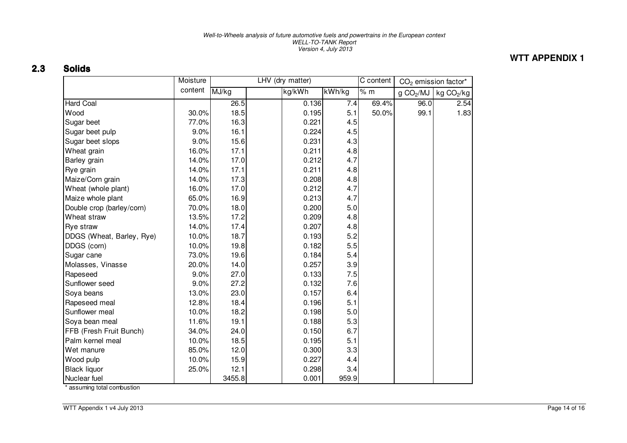## **WTT APPENDIX 1**

#### 2.3Solids

|                           | Moisture | LHV (dry matter) |  |        |        | C content | CO <sub>2</sub> emission factor* |                        |
|---------------------------|----------|------------------|--|--------|--------|-----------|----------------------------------|------------------------|
|                           | content  | MJ/kg            |  | kg/kWh | kWh/kg | % m       | g CO <sub>2</sub> /MJ            | kg CO <sub>2</sub> /kg |
| <b>Hard Coal</b>          |          | 26.5             |  | 0.136  | 7.4    | 69.4%     | 96.0                             | 2.54                   |
| Wood                      | 30.0%    | 18.5             |  | 0.195  | 5.1    | 50.0%     | 99.1                             | 1.83                   |
| Sugar beet                | 77.0%    | 16.3             |  | 0.221  | 4.5    |           |                                  |                        |
| Sugar beet pulp           | 9.0%     | 16.1             |  | 0.224  | 4.5    |           |                                  |                        |
| Sugar beet slops          | 9.0%     | 15.6             |  | 0.231  | 4.3    |           |                                  |                        |
| Wheat grain               | 16.0%    | 17.1             |  | 0.211  | 4.8    |           |                                  |                        |
| Barley grain              | 14.0%    | 17.0             |  | 0.212  | 4.7    |           |                                  |                        |
| Rye grain                 | 14.0%    | 17.1             |  | 0.211  | 4.8    |           |                                  |                        |
| Maize/Corn grain          | 14.0%    | 17.3             |  | 0.208  | 4.8    |           |                                  |                        |
| Wheat (whole plant)       | 16.0%    | 17.0             |  | 0.212  | 4.7    |           |                                  |                        |
| Maize whole plant         | 65.0%    | 16.9             |  | 0.213  | 4.7    |           |                                  |                        |
| Double crop (barley/corn) | 70.0%    | 18.0             |  | 0.200  | 5.0    |           |                                  |                        |
| Wheat straw               | 13.5%    | 17.2             |  | 0.209  | 4.8    |           |                                  |                        |
| <b>Rye straw</b>          | 14.0%    | 17.4             |  | 0.207  | 4.8    |           |                                  |                        |
| DDGS (Wheat, Barley, Rye) | 10.0%    | 18.7             |  | 0.193  | 5.2    |           |                                  |                        |
| DDGS (corn)               | 10.0%    | 19.8             |  | 0.182  | 5.5    |           |                                  |                        |
| Sugar cane                | 73.0%    | 19.6             |  | 0.184  | 5.4    |           |                                  |                        |
| Molasses, Vinasse         | 20.0%    | 14.0             |  | 0.257  | 3.9    |           |                                  |                        |
| Rapeseed                  | 9.0%     | 27.0             |  | 0.133  | 7.5    |           |                                  |                        |
| Sunflower seed            | 9.0%     | 27.2             |  | 0.132  | 7.6    |           |                                  |                        |
| Soya beans                | 13.0%    | 23.0             |  | 0.157  | 6.4    |           |                                  |                        |
| Rapeseed meal             | 12.8%    | 18.4             |  | 0.196  | 5.1    |           |                                  |                        |
| Sunflower meal            | 10.0%    | 18.2             |  | 0.198  | 5.0    |           |                                  |                        |
| Soya bean meal            | 11.6%    | 19.1             |  | 0.188  | 5.3    |           |                                  |                        |
| FFB (Fresh Fruit Bunch)   | 34.0%    | 24.0             |  | 0.150  | 6.7    |           |                                  |                        |
| Palm kernel meal          | 10.0%    | 18.5             |  | 0.195  | 5.1    |           |                                  |                        |
| Wet manure                | 85.0%    | 12.0             |  | 0.300  | 3.3    |           |                                  |                        |
| Wood pulp                 | 10.0%    | 15.9             |  | 0.227  | 4.4    |           |                                  |                        |
| <b>Black liquor</b>       | 25.0%    | 12.1             |  | 0.298  | 3.4    |           |                                  |                        |
| Nuclear fuel              |          | 3455.8           |  | 0.001  | 959.9  |           |                                  |                        |

\* assuming total combustion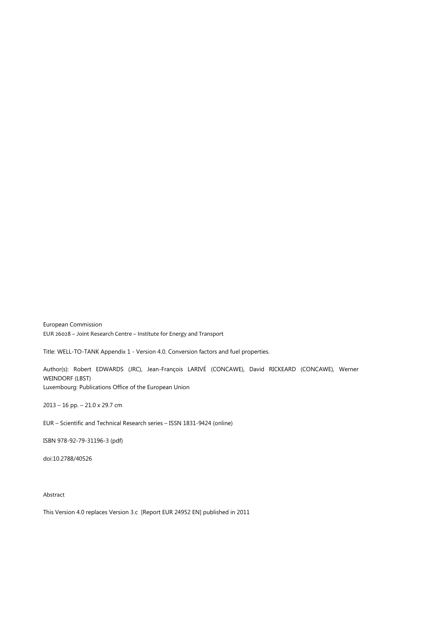European Commission EUR 26028 – Joint Research Centre – Institute for Energy and Transport

Title: WELL-TO-TANK Appendix 1 - Version 4.0. Conversion factors and fuel properties.

Author(s): Robert EDWARDS (JRC), Jean-François LARIVÉ (CONCAWE), David RICKEARD (CONCAWE), Werner WEINDORF (LBST) Luxembourg: Publications Office of the European Union

2013 – 16 pp. – 21.0 x 29.7 cm

EUR – Scientific and Technical Research series – ISSN 1831-9424 (online)

ISBN 978-92-79-31196-3 (pdf)

doi:10.2788/40526

Abstract

This Version 4.0 replaces Version 3.c [Report EUR 24952 EN] published in 2011